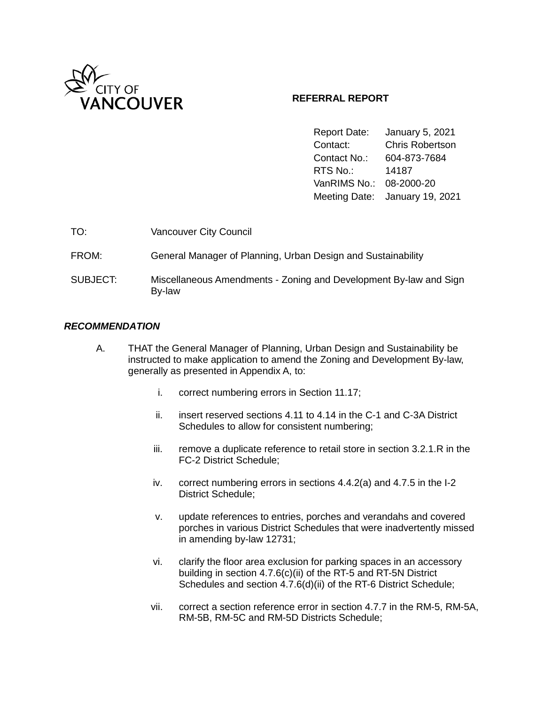

# **REFERRAL REPORT**

Report Date: January 5, 2021 Contact: Chris Robertson Contact No.: 604-873-7684 RTS No.: 14187 VanRIMS No.: 08-2000-20 Meeting Date: January 19, 2021

| TO:      | <b>Vancouver City Council</b>                                               |
|----------|-----------------------------------------------------------------------------|
| FROM:    | General Manager of Planning, Urban Design and Sustainability                |
| SUBJECT: | Miscellaneous Amendments - Zoning and Development By-law and Sign<br>By-law |

## *RECOMMENDATION*

- A. THAT the General Manager of Planning, Urban Design and Sustainability be instructed to make application to amend the Zoning and Development By-law, generally as presented in Appendix A, to:
	- i. correct numbering errors in Section 11.17;
	- ii. insert reserved sections 4.11 to 4.14 in the C-1 and C-3A District Schedules to allow for consistent numbering;
	- iii. remove a duplicate reference to retail store in section 3.2.1.R in the FC-2 District Schedule;
	- iv. correct numbering errors in sections 4.4.2(a) and 4.7.5 in the I-2 District Schedule;
	- v. update references to entries, porches and verandahs and covered porches in various District Schedules that were inadvertently missed in amending by-law 12731;
	- vi. clarify the floor area exclusion for parking spaces in an accessory building in section 4.7.6(c)(ii) of the RT-5 and RT-5N District Schedules and section 4.7.6(d)(ii) of the RT-6 District Schedule;
	- vii. correct a section reference error in section 4.7.7 in the RM-5, RM-5A, RM-5B, RM-5C and RM-5D Districts Schedule;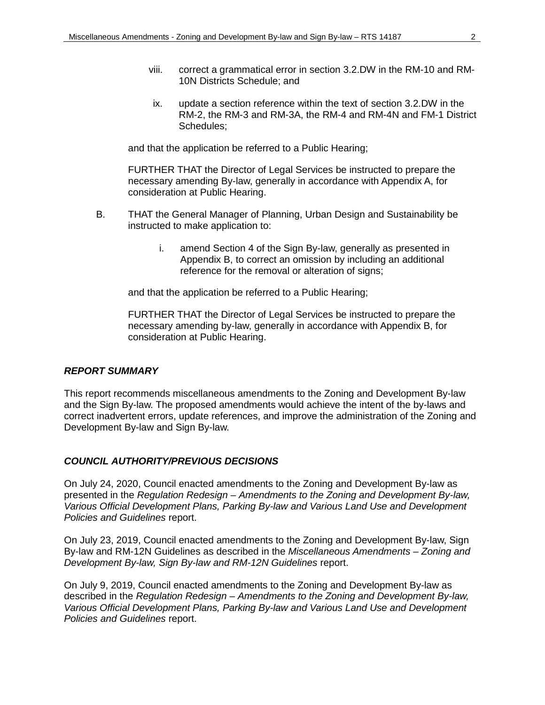- viii. correct a grammatical error in section 3.2.DW in the RM-10 and RM-10N Districts Schedule; and
- ix. update a section reference within the text of section 3.2.DW in the RM-2, the RM-3 and RM-3A, the RM-4 and RM-4N and FM-1 District Schedules;

and that the application be referred to a Public Hearing;

FURTHER THAT the Director of Legal Services be instructed to prepare the necessary amending By-law, generally in accordance with Appendix A, for consideration at Public Hearing.

- B. THAT the General Manager of Planning, Urban Design and Sustainability be instructed to make application to:
	- i. amend Section 4 of the Sign By-law, generally as presented in Appendix B, to correct an omission by including an additional reference for the removal or alteration of signs;

and that the application be referred to a Public Hearing;

FURTHER THAT the Director of Legal Services be instructed to prepare the necessary amending by-law, generally in accordance with Appendix B, for consideration at Public Hearing.

#### *REPORT SUMMARY*

This report recommends miscellaneous amendments to the Zoning and Development By-law and the Sign By-law. The proposed amendments would achieve the intent of the by-laws and correct inadvertent errors, update references, and improve the administration of the Zoning and Development By-law and Sign By-law.

# *COUNCIL AUTHORITY/PREVIOUS DECISIONS*

On July 24, 2020, Council enacted amendments to the Zoning and Development By-law as presented in the *Regulation Redesign – Amendments to the Zoning and Development By-law, Various Official Development Plans, Parking By-law and Various Land Use and Development Policies and Guidelines* report.

On July 23, 2019, Council enacted amendments to the Zoning and Development By-law, Sign By-law and RM-12N Guidelines as described in the *Miscellaneous Amendments – Zoning and Development By-law, Sign By-law and RM-12N Guidelines* report.

On July 9, 2019, Council enacted amendments to the Zoning and Development By-law as described in the *Regulation Redesign – Amendments to the Zoning and Development By-law, Various Official Development Plans, Parking By-law and Various Land Use and Development Policies and Guidelines* report.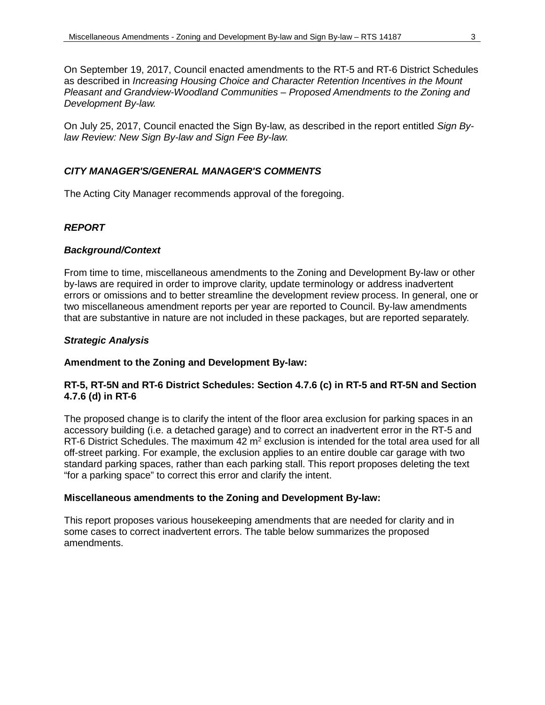On September 19, 2017, Council enacted amendments to the RT-5 and RT-6 District Schedules as described in *Increasing Housing Choice and Character Retention Incentives in the Mount Pleasant and Grandview-Woodland Communities – Proposed Amendments to the Zoning and Development By-law.* 

On July 25, 2017, Council enacted the Sign By-law, as described in the report entitled *Sign Bylaw Review: New Sign By-law and Sign Fee By-law.* 

#### *CITY MANAGER'S/GENERAL MANAGER'S COMMENTS*

The Acting City Manager recommends approval of the foregoing.

## *REPORT*

#### *Background/Context*

From time to time, miscellaneous amendments to the Zoning and Development By-law or other by-laws are required in order to improve clarity, update terminology or address inadvertent errors or omissions and to better streamline the development review process. In general, one or two miscellaneous amendment reports per year are reported to Council. By-law amendments that are substantive in nature are not included in these packages, but are reported separately.

## *Strategic Analysis*

#### **Amendment to the Zoning and Development By-law:**

## **RT-5, RT-5N and RT-6 District Schedules: Section 4.7.6 (c) in RT-5 and RT-5N and Section 4.7.6 (d) in RT-6**

The proposed change is to clarify the intent of the floor area exclusion for parking spaces in an accessory building (i.e. a detached garage) and to correct an inadvertent error in the RT-5 and RT-6 District Schedules. The maximum 42 m<sup>2</sup> exclusion is intended for the total area used for all off-street parking. For example, the exclusion applies to an entire double car garage with two standard parking spaces, rather than each parking stall. This report proposes deleting the text "for a parking space" to correct this error and clarify the intent.

#### **Miscellaneous amendments to the Zoning and Development By-law:**

This report proposes various housekeeping amendments that are needed for clarity and in some cases to correct inadvertent errors. The table below summarizes the proposed amendments.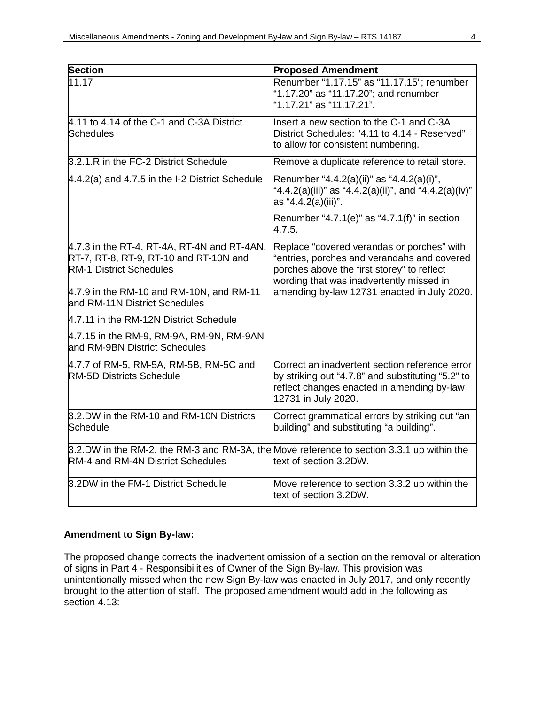| <b>Section</b>                                                                                                                        | <b>Proposed Amendment</b>                                                                                                                                                           |
|---------------------------------------------------------------------------------------------------------------------------------------|-------------------------------------------------------------------------------------------------------------------------------------------------------------------------------------|
| 11.17                                                                                                                                 | Renumber "1.17.15" as "11.17.15"; renumber<br>"1.17.20" as "11.17.20"; and renumber<br>"1.17.21" as "11.17.21".                                                                     |
| 4.11 to 4.14 of the C-1 and C-3A District<br>Schedules                                                                                | Insert a new section to the C-1 and C-3A<br>District Schedules: "4.11 to 4.14 - Reserved"<br>to allow for consistent numbering.                                                     |
| 3.2.1.R in the FC-2 District Schedule                                                                                                 | Remove a duplicate reference to retail store.                                                                                                                                       |
| $4.4.2(a)$ and $4.7.5$ in the I-2 District Schedule                                                                                   | Renumber "4.4.2(a)(ii)" as "4.4.2(a)(i)",<br>"4.4.2(a)(iii)" as "4.4.2(a)(ii)", and "4.4.2(a)(iv)"<br>as "4.4.2(a)(iii)".                                                           |
|                                                                                                                                       | Renumber "4.7.1(e)" as "4.7.1(f)" in section<br>4.7.5.                                                                                                                              |
| $4.7.3$ in the RT-4, RT-4A, RT-4N and RT-4AN,<br>RT-7, RT-8, RT-9, RT-10 and RT-10N and<br><b>RM-1 District Schedules</b>             | Replace "covered verandas or porches" with<br>"entries, porches and verandahs and covered<br>porches above the first storey" to reflect<br>wording that was inadvertently missed in |
| $4.7.9$ in the RM-10 and RM-10N, and RM-11<br>and RM-11N District Schedules                                                           | amending by-law 12731 enacted in July 2020.                                                                                                                                         |
| 4.7.11 in the RM-12N District Schedule                                                                                                |                                                                                                                                                                                     |
| 4.7.15 in the RM-9, RM-9A, RM-9N, RM-9AN<br>and RM-9BN District Schedules                                                             |                                                                                                                                                                                     |
| 4.7.7 of RM-5, RM-5A, RM-5B, RM-5C and<br><b>RM-5D Districts Schedule</b>                                                             | Correct an inadvertent section reference error<br>by striking out "4.7.8" and substituting "5.2" to<br>reflect changes enacted in amending by-law<br>12731 in July 2020.            |
| 3.2.DW in the RM-10 and RM-10N Districts<br>Schedule                                                                                  | Correct grammatical errors by striking out "an<br>building" and substituting "a building".                                                                                          |
| 3.2.DW in the RM-2, the RM-3 and RM-3A, the Move reference to section 3.3.1 up within the<br><b>RM-4 and RM-4N District Schedules</b> | text of section 3.2DW.                                                                                                                                                              |
| 3.2DW in the FM-1 District Schedule                                                                                                   | Move reference to section 3.3.2 up within the<br>text of section 3.2DW.                                                                                                             |

# **Amendment to Sign By-law:**

The proposed change corrects the inadvertent omission of a section on the removal or alteration of signs in Part 4 - Responsibilities of Owner of the Sign By-law. This provision was unintentionally missed when the new Sign By-law was enacted in July 2017, and only recently brought to the attention of staff. The proposed amendment would add in the following as section 4.13: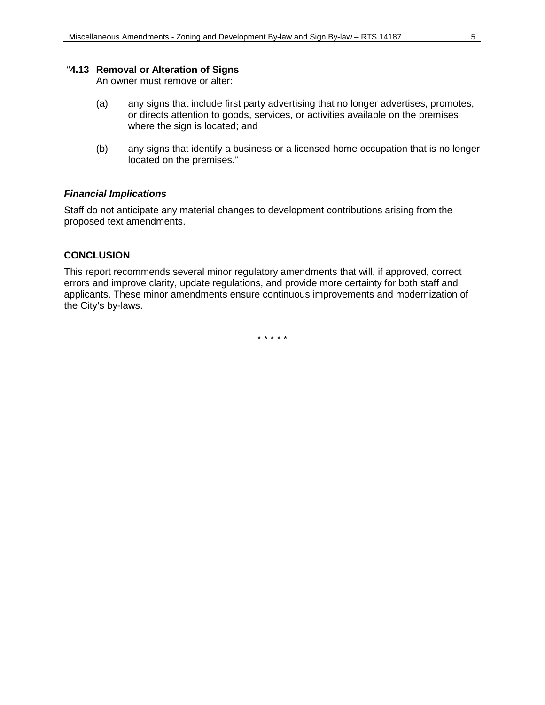## "**4.13 Removal or Alteration of Signs**

An owner must remove or alter:

- (a) any signs that include first party advertising that no longer advertises, promotes, or directs attention to goods, services, or activities available on the premises where the sign is located; and
- (b) any signs that identify a business or a licensed home occupation that is no longer located on the premises."

## *Financial Implications*

Staff do not anticipate any material changes to development contributions arising from the proposed text amendments.

## **CONCLUSION**

This report recommends several minor regulatory amendments that will, if approved, correct errors and improve clarity, update regulations, and provide more certainty for both staff and applicants. These minor amendments ensure continuous improvements and modernization of the City's by-laws.

\* \* \* \* \*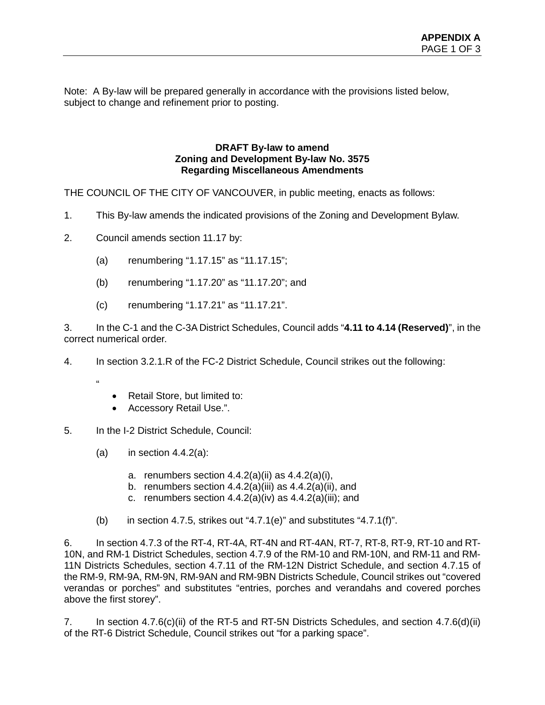Note: A By-law will be prepared generally in accordance with the provisions listed below, subject to change and refinement prior to posting.

## **DRAFT By-law to amend Zoning and Development By-law No. 3575 Regarding Miscellaneous Amendments**

THE COUNCIL OF THE CITY OF VANCOUVER, in public meeting, enacts as follows:

- 1. This By-law amends the indicated provisions of the Zoning and Development Bylaw.
- 2. Council amends section 11.17 by:
	- (a) renumbering "1.17.15" as "11.17.15";
	- (b) renumbering "1.17.20" as "11.17.20"; and
	- (c) renumbering "1.17.21" as "11.17.21".

3. In the C-1 and the C-3A District Schedules, Council adds "**4.11 to 4.14 (Reserved)**", in the correct numerical order.

4. In section 3.2.1.R of the FC-2 District Schedule, Council strikes out the following:

- $\alpha$
- Retail Store, but limited to:
- Accessory Retail Use.".
- 5. In the I-2 District Schedule, Council:
	- (a) in section  $4.4.2(a)$ :
		- a. renumbers section  $4.4.2(a)(ii)$  as  $4.4.2(a)(i)$ ,
		- b. renumbers section  $4.4.2(a)(iii)$  as  $4.4.2(a)(ii)$ , and
		- c. renumbers section  $4.4.2(a)(iv)$  as  $4.4.2(a)(iii)$ ; and
	- (b) in section 4.7.5, strikes out "4.7.1(e)" and substitutes "4.7.1(f)".

6. In section 4.7.3 of the RT-4, RT-4A, RT-4N and RT-4AN, RT-7, RT-8, RT-9, RT-10 and RT-10N, and RM-1 District Schedules, section 4.7.9 of the RM-10 and RM-10N, and RM-11 and RM-11N Districts Schedules, section 4.7.11 of the RM-12N District Schedule, and section 4.7.15 of the RM-9, RM-9A, RM-9N, RM-9AN and RM-9BN Districts Schedule, Council strikes out "covered verandas or porches" and substitutes "entries, porches and verandahs and covered porches above the first storey".

7. In section 4.7.6(c)(ii) of the RT-5 and RT-5N Districts Schedules, and section 4.7.6(d)(ii) of the RT-6 District Schedule, Council strikes out "for a parking space".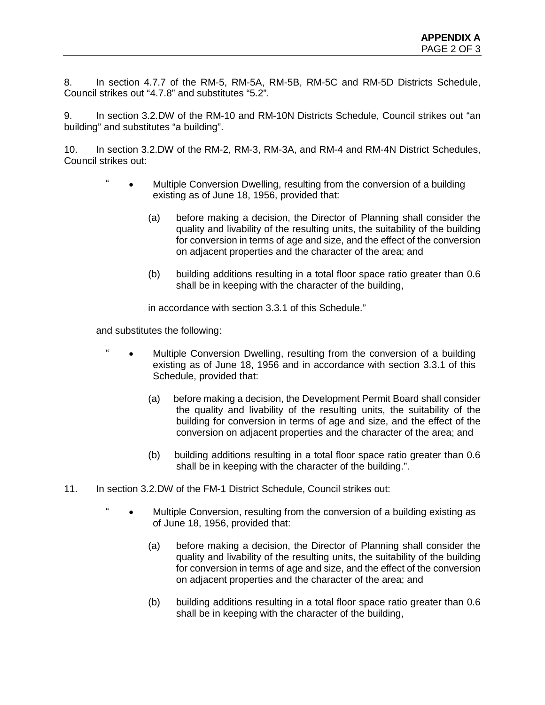8. In section 4.7.7 of the RM-5, RM-5A, RM-5B, RM-5C and RM-5D Districts Schedule, Council strikes out "4.7.8" and substitutes "5.2".

9. In section 3.2.DW of the RM-10 and RM-10N Districts Schedule, Council strikes out "an building" and substitutes "a building".

10. In section 3.2.DW of the RM-2, RM-3, RM-3A, and RM-4 and RM-4N District Schedules, Council strikes out:

- " Multiple Conversion Dwelling, resulting from the conversion of a building existing as of June 18, 1956, provided that:
	- (a) before making a decision, the Director of Planning shall consider the quality and livability of the resulting units, the suitability of the building for conversion in terms of age and size, and the effect of the conversion on adjacent properties and the character of the area; and
	- (b) building additions resulting in a total floor space ratio greater than 0.6 shall be in keeping with the character of the building,

in accordance with section 3.3.1 of this Schedule."

and substitutes the following:

- Multiple Conversion Dwelling, resulting from the conversion of a building existing as of June 18, 1956 and in accordance with section 3.3.1 of this Schedule, provided that:
	- (a) before making a decision, the Development Permit Board shall consider the quality and livability of the resulting units, the suitability of the building for conversion in terms of age and size, and the effect of the conversion on adjacent properties and the character of the area; and
	- (b) building additions resulting in a total floor space ratio greater than 0.6 shall be in keeping with the character of the building.".
- 11. In section 3.2.DW of the FM-1 District Schedule, Council strikes out:
	- " Multiple Conversion, resulting from the conversion of a building existing as of June 18, 1956, provided that:
		- (a) before making a decision, the Director of Planning shall consider the quality and livability of the resulting units, the suitability of the building for conversion in terms of age and size, and the effect of the conversion on adjacent properties and the character of the area; and
		- (b) building additions resulting in a total floor space ratio greater than 0.6 shall be in keeping with the character of the building,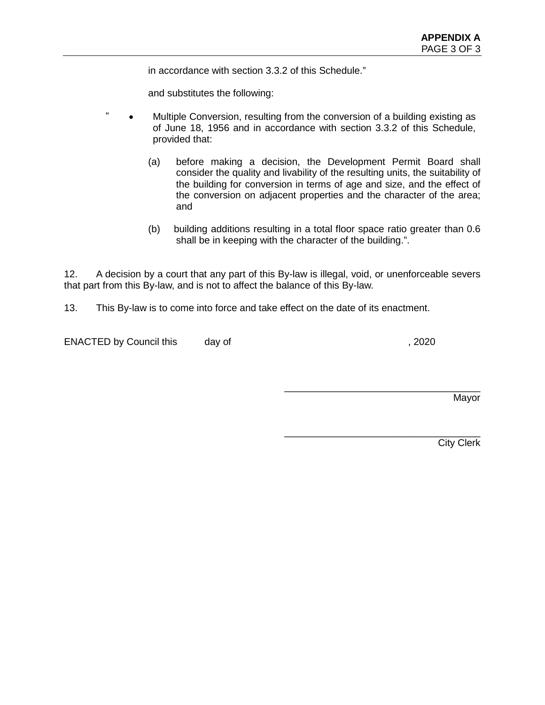in accordance with section 3.3.2 of this Schedule."

and substitutes the following:

- " Multiple Conversion, resulting from the conversion of a building existing as of June 18, 1956 and in accordance with section 3.3.2 of this Schedule, provided that:
	- (a) before making a decision, the Development Permit Board shall consider the quality and livability of the resulting units, the suitability of the building for conversion in terms of age and size, and the effect of the conversion on adjacent properties and the character of the area; and
	- (b) building additions resulting in a total floor space ratio greater than 0.6 shall be in keeping with the character of the building.".

12. A decision by a court that any part of this By-law is illegal, void, or unenforceable severs that part from this By-law, and is not to affect the balance of this By-law.

13. This By-law is to come into force and take effect on the date of its enactment.

ENACTED by Council this day of  $\sim$ , 2020

\_\_\_\_\_\_\_\_\_\_\_\_\_\_\_\_\_\_\_\_\_\_\_\_\_\_\_\_\_\_\_\_\_\_\_\_

\_\_\_\_\_\_\_\_\_\_\_\_\_\_\_\_\_\_\_\_\_\_\_\_\_\_\_\_\_\_\_\_\_\_\_\_ Mayor

City Clerk